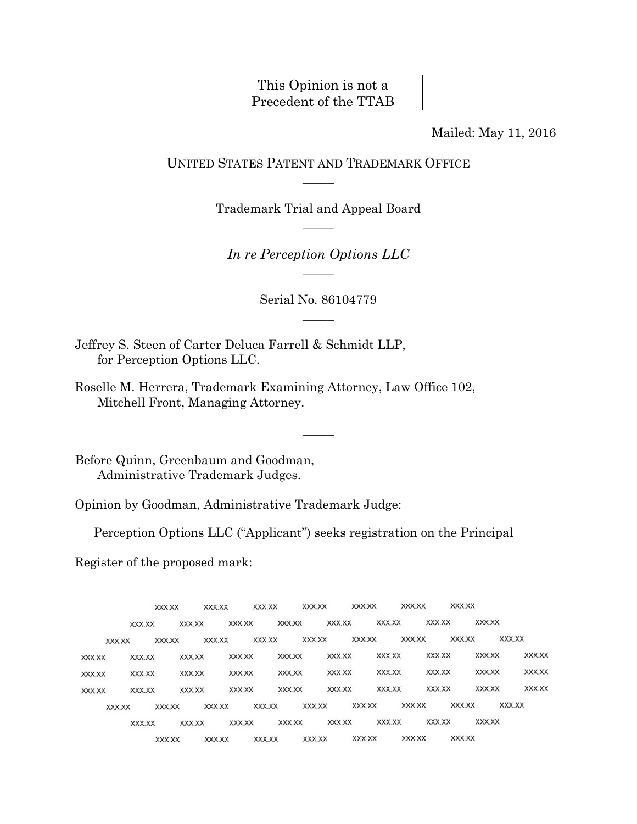# This Opinion is not a Precedent of the TTAB

Mailed: May 11, 2016

## UNITED STATES PATENT AND TRADEMARK OFFICE  $\overline{\phantom{a}}$

Trademark Trial and Appeal Board  $\overline{\phantom{a}}$ 

*In re Perception Options LLC*   $\overline{\phantom{a}}$ 

> Serial No. 86104779  $\overline{\phantom{a}}$

> > $\overline{\phantom{a}}$

Jeffrey S. Steen of Carter Deluca Farrell & Schmidt LLP, for Perception Options LLC.

Roselle M. Herrera, Trademark Examining Attorney, Law Office 102, Mitchell Front, Managing Attorney.

Before Quinn, Greenbaum and Goodman, Administrative Trademark Judges.

Opinion by Goodman, Administrative Trademark Judge:

Perception Options LLC ("Applicant") seeks registration on the Principal

Register of the proposed mark:

|        |        |        | XXX.XX |        | XXX.XX |        | XXX.XX |        | XXX.XX |        | XXX.XX |        | XXX.XX |        | XXX.XX |        |        |        |
|--------|--------|--------|--------|--------|--------|--------|--------|--------|--------|--------|--------|--------|--------|--------|--------|--------|--------|--------|
|        |        | XXX.XX |        | XXX.XX |        | XXX.XX |        | XXX.XX |        | XXX.XX |        | XXX.XX |        | XXX.XX |        | XXX.XX |        |        |
|        | XXX.XX |        | XXX.XX |        | XXX.XX |        | XXX.XX |        | XXX.XX |        | XXX.XX |        | XXX.XX |        | XXX.XX |        | XXX.XX |        |
| XXX.XX |        | XXX.XX |        | XXX.XX |        | XXX.XX |        | XXX.XX |        | XXX.XX |        | XXX.XX |        | XXX.XX |        | XXX.XX |        | XXX.XX |
| XXX.XX |        | XXX.XX |        | XXX.XX |        | XXX.XX |        | XXX.XX |        | XXX.XX |        | XXX.XX |        | XXX.XX |        | XXX.XX |        | XXX.XX |
| XXX.XX |        | XXX.XX |        | XXX.XX |        | XXX.XX |        | XXX.XX |        | XXX.XX |        | XXX.XX |        | XXX.XX |        | XXX.XX |        | XXX.XX |
|        | XXX.XX |        | XXX.XX |        | XXX.XX |        | XXX.XX |        | XXX.XX |        | XXX.XX |        | XXX.XX |        | XXX.XX |        | XXX.XX |        |
|        |        | XXX.XX |        | XXX.XX |        | XXX.XX |        | XXX.XX |        | XXX.XX |        | XXX.XX |        | XXX.XX |        | XXX.XX |        |        |
|        |        |        | XXX.XX |        | XXX.XX |        | XXX.XX |        | XXX.XX |        | XXX.XX |        | XXX XX |        | XXX.XX |        |        |        |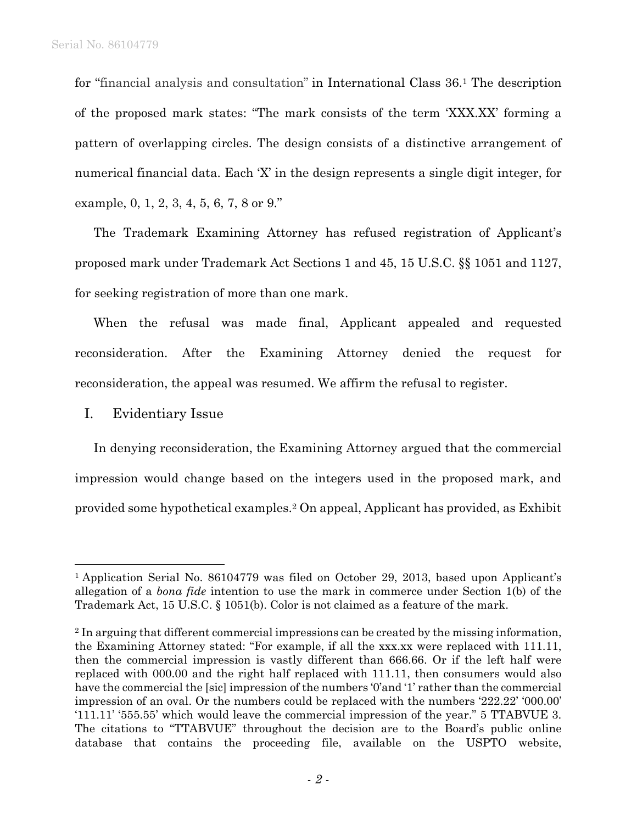for "financial analysis and consultation" in International Class 36.1 The description of the proposed mark states: "The mark consists of the term 'XXX.XX' forming a pattern of overlapping circles. The design consists of a distinctive arrangement of numerical financial data. Each 'X' in the design represents a single digit integer, for example, 0, 1, 2, 3, 4, 5, 6, 7, 8 or 9."

The Trademark Examining Attorney has refused registration of Applicant's proposed mark under Trademark Act Sections 1 and 45, 15 U.S.C. §§ 1051 and 1127, for seeking registration of more than one mark.

When the refusal was made final, Applicant appealed and requested reconsideration. After the Examining Attorney denied the request for reconsideration, the appeal was resumed. We affirm the refusal to register.

## I. Evidentiary Issue

 $\overline{a}$ 

In denying reconsideration, the Examining Attorney argued that the commercial impression would change based on the integers used in the proposed mark, and provided some hypothetical examples.2 On appeal, Applicant has provided, as Exhibit

<sup>&</sup>lt;sup>1</sup> Application Serial No. 86104779 was filed on October 29, 2013, based upon Applicant's allegation of a *bona fide* intention to use the mark in commerce under Section 1(b) of the Trademark Act, 15 U.S.C. § 1051(b). Color is not claimed as a feature of the mark.

<sup>&</sup>lt;sup>2</sup> In arguing that different commercial impressions can be created by the missing information, the Examining Attorney stated: "For example, if all the xxx.xx were replaced with 111.11, then the commercial impression is vastly different than 666.66. Or if the left half were replaced with 000.00 and the right half replaced with 111.11, then consumers would also have the commercial the [sic] impression of the numbers '0'and '1' rather than the commercial impression of an oval. Or the numbers could be replaced with the numbers '222.22' '000.00' '111.11' '555.55' which would leave the commercial impression of the year." 5 TTABVUE 3. The citations to "TTABVUE" throughout the decision are to the Board's public online database that contains the proceeding file, available on the USPTO website,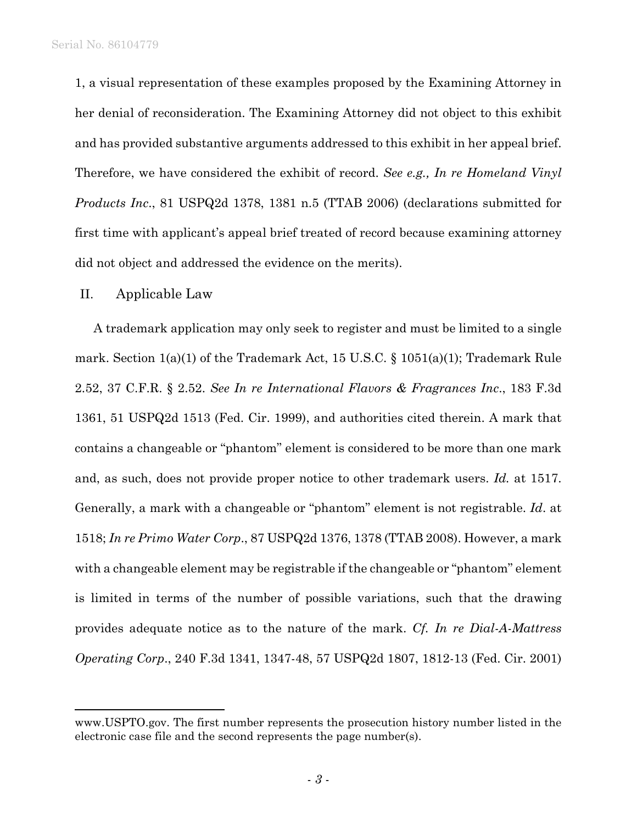1, a visual representation of these examples proposed by the Examining Attorney in her denial of reconsideration. The Examining Attorney did not object to this exhibit and has provided substantive arguments addressed to this exhibit in her appeal brief. Therefore, we have considered the exhibit of record. *See e.g., In re Homeland Vinyl Products Inc*., 81 USPQ2d 1378, 1381 n.5 (TTAB 2006) (declarations submitted for first time with applicant's appeal brief treated of record because examining attorney did not object and addressed the evidence on the merits).

#### II. Applicable Law

1

A trademark application may only seek to register and must be limited to a single mark. Section 1(a)(1) of the Trademark Act, 15 U.S.C. § 1051(a)(1); Trademark Rule 2.52, 37 C.F.R. § 2.52. *See In re International Flavors & Fragrances Inc*., 183 F.3d 1361, 51 USPQ2d 1513 (Fed. Cir. 1999), and authorities cited therein. A mark that contains a changeable or "phantom" element is considered to be more than one mark and, as such, does not provide proper notice to other trademark users. *Id.* at 1517. Generally, a mark with a changeable or "phantom" element is not registrable. *Id*. at 1518; *In re Primo Water Corp*., 87 USPQ2d 1376, 1378 (TTAB 2008). However, a mark with a changeable element may be registrable if the changeable or "phantom" element is limited in terms of the number of possible variations, such that the drawing provides adequate notice as to the nature of the mark. *Cf. In re Dial-A-Mattress Operating Corp*., 240 F.3d 1341, 1347-48, 57 USPQ2d 1807, 1812-13 (Fed. Cir. 2001)

www.USPTO.gov. The first number represents the prosecution history number listed in the electronic case file and the second represents the page number(s).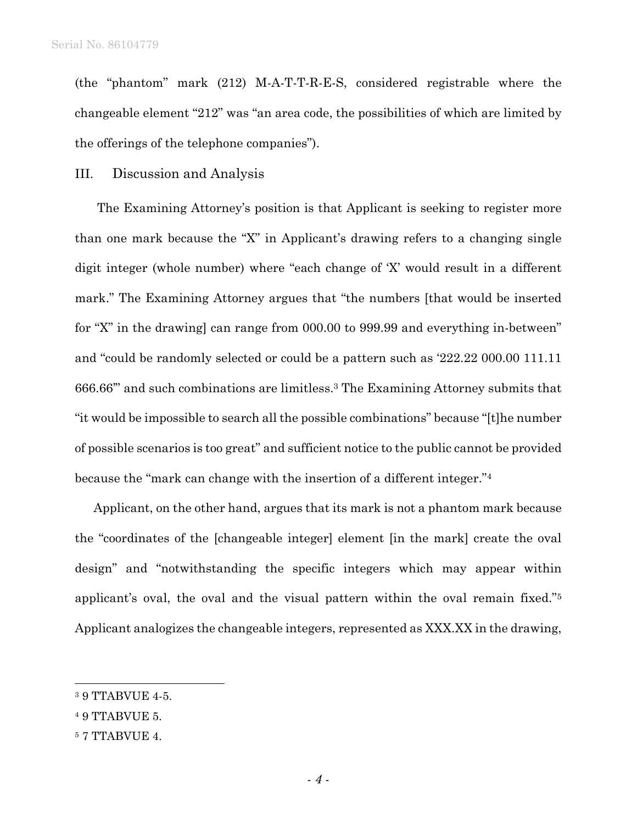(the "phantom" mark (212) M-A-T-T-R-E-S, considered registrable where the changeable element "212" was "an area code, the possibilities of which are limited by the offerings of the telephone companies").

#### III. Discussion and Analysis

 The Examining Attorney's position is that Applicant is seeking to register more than one mark because the "X" in Applicant's drawing refers to a changing single digit integer (whole number) where "each change of 'X' would result in a different mark." The Examining Attorney argues that "the numbers [that would be inserted for "X" in the drawing] can range from 000.00 to 999.99 and everything in-between" and "could be randomly selected or could be a pattern such as '222.22 000.00 111.11 666.66'" and such combinations are limitless.3 The Examining Attorney submits that "it would be impossible to search all the possible combinations" because "[t]he number of possible scenarios is too great" and sufficient notice to the public cannot be provided because the "mark can change with the insertion of a different integer."4

Applicant, on the other hand, argues that its mark is not a phantom mark because the "coordinates of the [changeable integer] element [in the mark] create the oval design" and "notwithstanding the specific integers which may appear within applicant's oval, the oval and the visual pattern within the oval remain fixed."5 Applicant analogizes the changeable integers, represented as XXX.XX in the drawing,

 $\overline{a}$ 

<sup>3 9</sup> TTABVUE 4-5.

<sup>4 9</sup> TTABVUE 5.

<sup>5 7</sup> TTABVUE 4.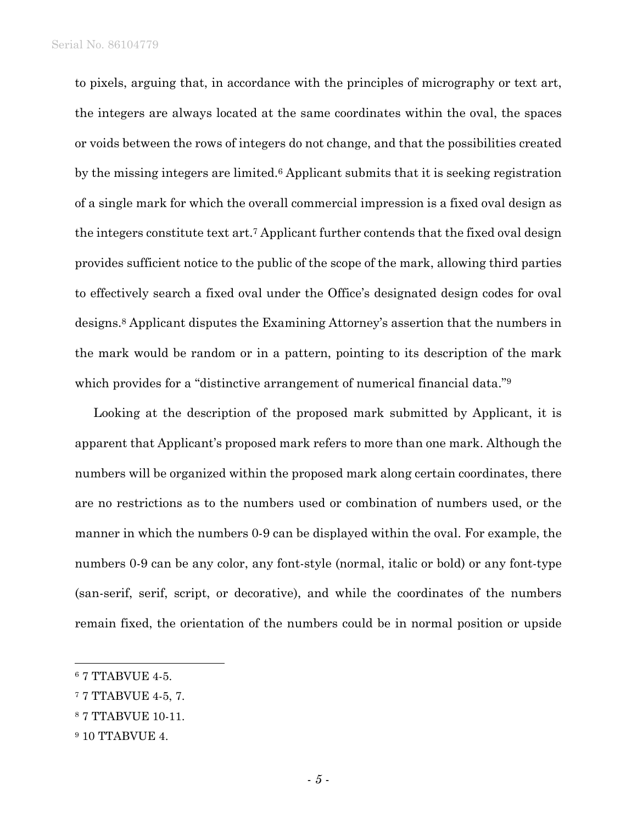Serial No. 86104779

to pixels, arguing that, in accordance with the principles of micrography or text art, the integers are always located at the same coordinates within the oval, the spaces or voids between the rows of integers do not change, and that the possibilities created by the missing integers are limited.6 Applicant submits that it is seeking registration of a single mark for which the overall commercial impression is a fixed oval design as the integers constitute text art.7 Applicant further contends that the fixed oval design provides sufficient notice to the public of the scope of the mark, allowing third parties to effectively search a fixed oval under the Office's designated design codes for oval designs.8 Applicant disputes the Examining Attorney's assertion that the numbers in the mark would be random or in a pattern, pointing to its description of the mark which provides for a "distinctive arrangement of numerical financial data."<sup>9</sup>

Looking at the description of the proposed mark submitted by Applicant, it is apparent that Applicant's proposed mark refers to more than one mark. Although the numbers will be organized within the proposed mark along certain coordinates, there are no restrictions as to the numbers used or combination of numbers used, or the manner in which the numbers 0-9 can be displayed within the oval. For example, the numbers 0-9 can be any color, any font-style (normal, italic or bold) or any font-type (san-serif, serif, script, or decorative), and while the coordinates of the numbers remain fixed, the orientation of the numbers could be in normal position or upside

1

<sup>6 7</sup> TTABVUE 4-5.

<sup>7 7</sup> TTABVUE 4-5, 7.

<sup>8 7</sup> TTABVUE 10-11.

<sup>9 10</sup> TTABVUE 4.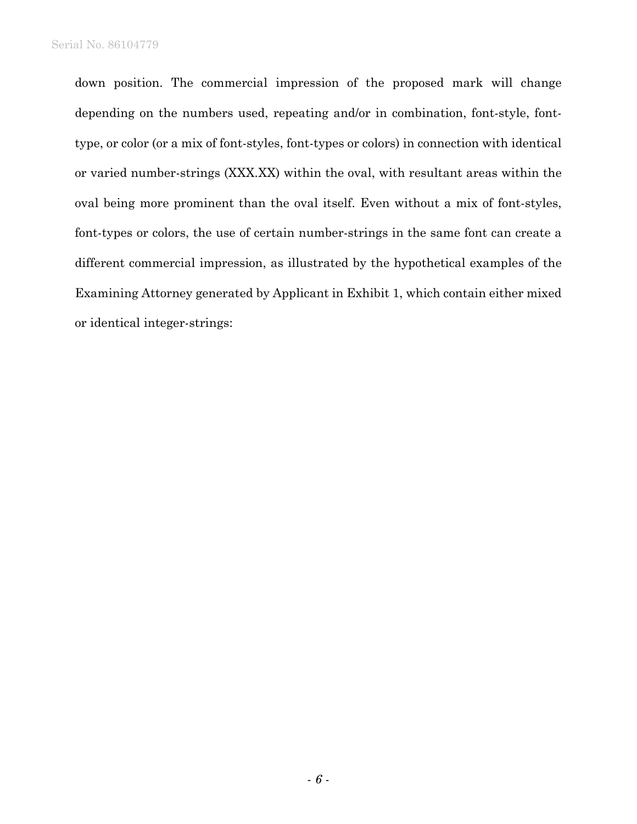down position. The commercial impression of the proposed mark will change depending on the numbers used, repeating and/or in combination, font-style, fonttype, or color (or a mix of font-styles, font-types or colors) in connection with identical or varied number-strings (XXX.XX) within the oval, with resultant areas within the oval being more prominent than the oval itself. Even without a mix of font-styles, font-types or colors, the use of certain number-strings in the same font can create a different commercial impression, as illustrated by the hypothetical examples of the Examining Attorney generated by Applicant in Exhibit 1, which contain either mixed or identical integer-strings: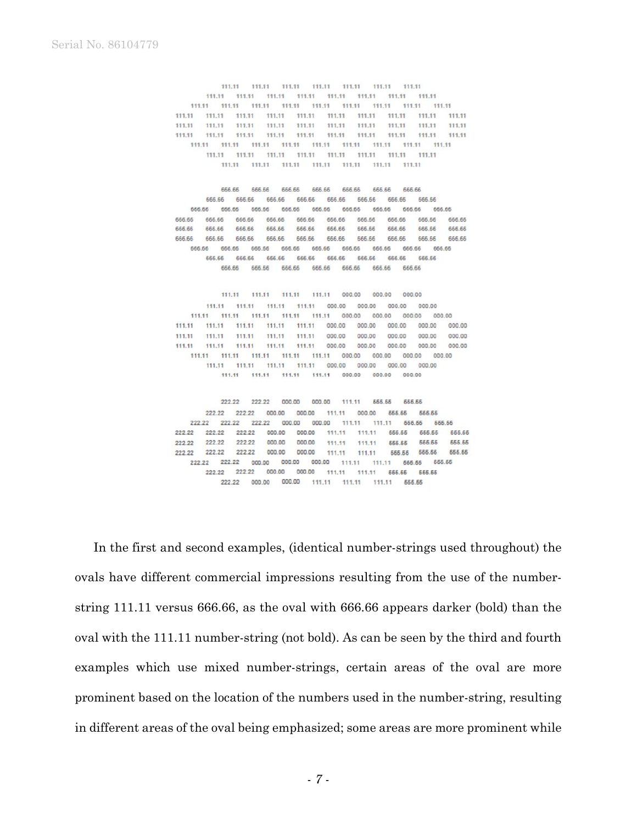111.11  $111.11 \qquad 111.11 \qquad 111.11 \qquad 111.11 \qquad 111.11$ 111 11 111.11 111.11 111.11 111.11 111.11 111.11 111.11 111.11 111.11 111.11 111.11 111.11 111.11 111.11 111.11 111.11 111.11 111.11 111.11 111.11 111.11 111.11 111.11 111.11 111.11 111.11 111 11 111 11 111.11 111.11 111 11 111 11 111 11 111 11 111.11 111 11 111.11 111.11 111.11 111.11 111.11 111.11 111.11 111.11 111.11 111.11 111.11 111.11 111.11 111.11 111.11 111.11 111.11 111.11 111,11 111.11 111.11 111.11 111.11 111.11 111.11 111.11 111.11 111.11 111.11 111.11 111.11 111.11 111.11

666.66 666.66 666.66 666.66 666.66 666.66 666,66 88.888 868.888 868.888 868.888 868.888 868.888 868.888 666.66 666.66 666.66 666.66 666.66 666.66 666.66 666.66 666.66 666.66 666.66 666.66 666.66 666.66 666.66 666.66 666.66 666.66 666.66 666.66 666.66 666.66 666.66 666.66 666.66 666.66 666.66 666 66 666.66 666.66 666.66 666.66 666.66 666,66 666,66 666,66 666.66 666.66 666,66 666.66 666.66 666.66 666.66 666,66 666.66 666.66 666.66 666,66 666.66 666.66 666.66 666.66 666.66 666.66 666.66 666.66 666.66 666.66 666.66 666.66 666.66 666.66 666.66

111.11 111.11 111.11 111.11 000.00 000.00 000.00 111.11 111.11 111.11 000.00 000.00 000.00 000.00 111.11 111.11 111.11 111.11 000.00 000.00 000.00 000.00 111.11 111.11 000.00 000.00 000.00 000.00 111.11 111.11 111.11 111.11 111.11 000.00 111.11 111.11 111.11 111.11 111.11 000.00 000.00 000.00 000.00 000.00 000.00 000.00 111.11 111.11 111.11 111.11 111.11 000.00 000.00 000.00 111.11 111.11 111.11 111.11 111.11 000.00 000.00 000.00 000.00 111.11 111.11 111.11 111.11 000.00 000.00 000.00 000.00 111.11 111.11 111.11 111.11 000.00 000.00 000.00

222.22 222.22 000.00 000.00 111.11 555.55 666.66 222.22 222.22 000.00 000.00 111.11 000.00 666.66 555.55 666.66 666.66 222.22 222.22 222.22 000.00 000.00 111.11 111.11 222.22 222.22 222.22 000.00 000.00 111.11 111.11 555.55 555.55 555.65 222.22 222.22 222.22 000.00 000.00 111.11 111.11 555.55 555.55 555.55 222.22 222.22 222.22 000.00 000.00 555.55 111.11 111.11 665.66 666.66 222.22 222.22 000.00 000.00 000.00 111.11 111.11 565.56 555.55 222.22 222.22 000.00 000.00 111.11 111.11 666.66 666.66 222.22 000.00 000.00 111.11 111.11 111.11 555.55

In the first and second examples, (identical number-strings used throughout) the ovals have different commercial impressions resulting from the use of the numberstring 111.11 versus 666.66, as the oval with 666.66 appears darker (bold) than the oval with the 111.11 number-string (not bold). As can be seen by the third and fourth examples which use mixed number-strings, certain areas of the oval are more prominent based on the location of the numbers used in the number-string, resulting in different areas of the oval being emphasized; some areas are more prominent while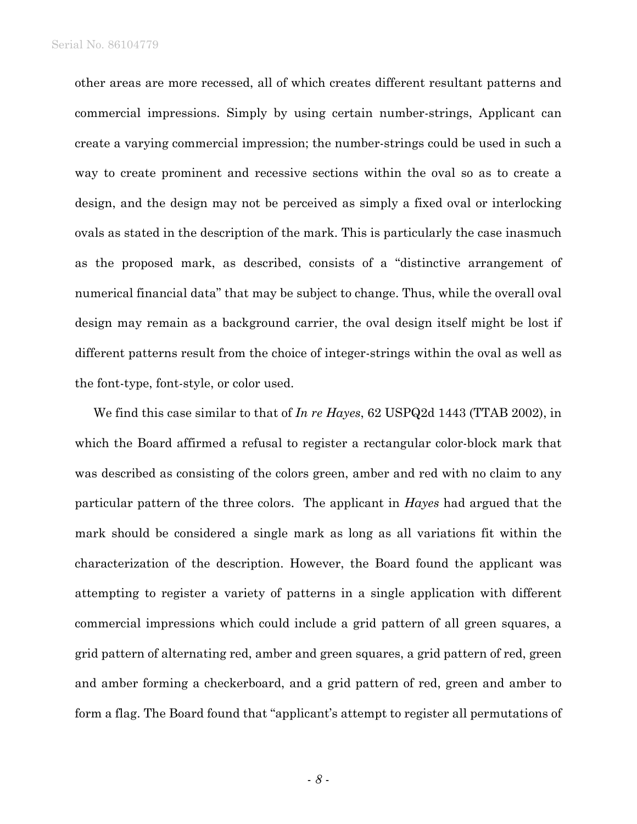other areas are more recessed, all of which creates different resultant patterns and commercial impressions. Simply by using certain number-strings, Applicant can create a varying commercial impression; the number-strings could be used in such a way to create prominent and recessive sections within the oval so as to create a design, and the design may not be perceived as simply a fixed oval or interlocking ovals as stated in the description of the mark. This is particularly the case inasmuch as the proposed mark, as described, consists of a "distinctive arrangement of numerical financial data" that may be subject to change. Thus, while the overall oval design may remain as a background carrier, the oval design itself might be lost if different patterns result from the choice of integer-strings within the oval as well as the font-type, font-style, or color used.

We find this case similar to that of *In re Hayes*, 62 USPQ2d 1443 (TTAB 2002), in which the Board affirmed a refusal to register a rectangular color-block mark that was described as consisting of the colors green, amber and red with no claim to any particular pattern of the three colors. The applicant in *Hayes* had argued that the mark should be considered a single mark as long as all variations fit within the characterization of the description. However, the Board found the applicant was attempting to register a variety of patterns in a single application with different commercial impressions which could include a grid pattern of all green squares, a grid pattern of alternating red, amber and green squares, a grid pattern of red, green and amber forming a checkerboard, and a grid pattern of red, green and amber to form a flag. The Board found that "applicant's attempt to register all permutations of